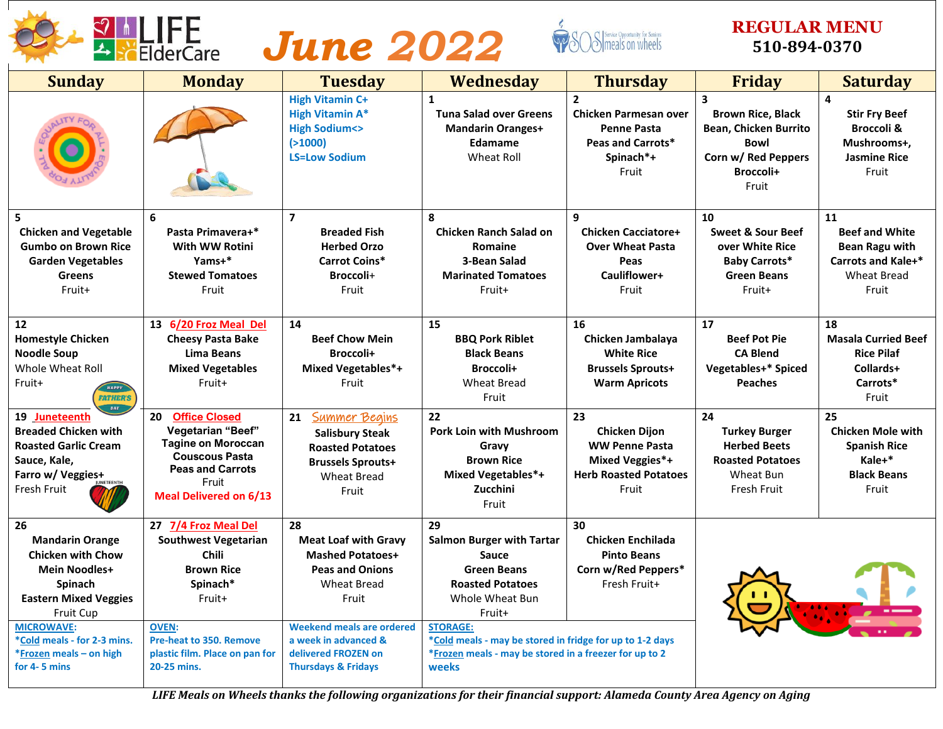



### **REGULAR MENU 510-894-0370**

| <b>Sunday</b>                                                                                                                                                                                                                                         | <b>Monday</b>                                                                                                                                                                                              | <b>Tuesday</b>                                                                                                                                                                                                                             | Wednesday                                                                                                                                                                                                                                                                              | <b>Thursday</b>                                                                                                 | <b>Friday</b>                                                                                                      | <b>Saturday</b>                                                                                                         |
|-------------------------------------------------------------------------------------------------------------------------------------------------------------------------------------------------------------------------------------------------------|------------------------------------------------------------------------------------------------------------------------------------------------------------------------------------------------------------|--------------------------------------------------------------------------------------------------------------------------------------------------------------------------------------------------------------------------------------------|----------------------------------------------------------------------------------------------------------------------------------------------------------------------------------------------------------------------------------------------------------------------------------------|-----------------------------------------------------------------------------------------------------------------|--------------------------------------------------------------------------------------------------------------------|-------------------------------------------------------------------------------------------------------------------------|
|                                                                                                                                                                                                                                                       |                                                                                                                                                                                                            | <b>High Vitamin C+</b><br><b>High Vitamin A*</b><br><b>High Sodium&lt;&gt;</b><br>( > 1000)<br><b>LS=Low Sodium</b>                                                                                                                        | $\mathbf{1}$<br><b>Tuna Salad over Greens</b><br><b>Mandarin Oranges+</b><br><b>Edamame</b><br><b>Wheat Roll</b>                                                                                                                                                                       | $\mathbf{2}$<br><b>Chicken Parmesan over</b><br><b>Penne Pasta</b><br>Peas and Carrots*<br>Spinach*+<br>Fruit   | 3<br><b>Brown Rice, Black</b><br>Bean, Chicken Burrito<br><b>Bowl</b><br>Corn w/ Red Peppers<br>Broccoli+<br>Fruit | $\overline{\mathbf{4}}$<br><b>Stir Fry Beef</b><br><b>Broccoli &amp;</b><br>Mushrooms+,<br><b>Jasmine Rice</b><br>Fruit |
| 5<br><b>Chicken and Vegetable</b><br><b>Gumbo on Brown Rice</b><br><b>Garden Vegetables</b><br><b>Greens</b><br>Fruit+                                                                                                                                | 6<br>Pasta Primavera+*<br>With WW Rotini<br>Yams+*<br><b>Stewed Tomatoes</b><br>Fruit                                                                                                                      | $\overline{\mathbf{z}}$<br><b>Breaded Fish</b><br><b>Herbed Orzo</b><br><b>Carrot Coins*</b><br>Broccoli+<br>Fruit                                                                                                                         | 8<br><b>Chicken Ranch Salad on</b><br>Romaine<br>3-Bean Salad<br><b>Marinated Tomatoes</b><br>Fruit+                                                                                                                                                                                   | q<br><b>Chicken Cacciatore+</b><br><b>Over Wheat Pasta</b><br>Peas<br>Cauliflower+<br>Fruit                     | 10<br><b>Sweet &amp; Sour Beef</b><br>over White Rice<br><b>Baby Carrots*</b><br><b>Green Beans</b><br>Fruit+      | 11<br><b>Beef and White</b><br><b>Bean Ragu with</b><br><b>Carrots and Kale+*</b><br><b>Wheat Bread</b><br>Fruit        |
| 12<br><b>Homestyle Chicken</b><br><b>Noodle Soup</b><br>Whole Wheat Roll<br>Fruit+<br><b>HAPPY</b><br><b>FATHER'S</b>                                                                                                                                 | 13 6/20 Froz Meal Del<br><b>Cheesy Pasta Bake</b><br>Lima Beans<br><b>Mixed Vegetables</b><br>Fruit+                                                                                                       | 14<br><b>Beef Chow Mein</b><br>Broccoli+<br><b>Mixed Vegetables*+</b><br>Fruit                                                                                                                                                             | 15<br><b>BBQ Pork Riblet</b><br><b>Black Beans</b><br>Broccoli+<br><b>Wheat Bread</b><br>Fruit                                                                                                                                                                                         | 16<br>Chicken Jambalaya<br><b>White Rice</b><br><b>Brussels Sprouts+</b><br><b>Warm Apricots</b>                | 17<br><b>Beef Pot Pie</b><br><b>CA Blend</b><br>Vegetables+* Spiced<br><b>Peaches</b>                              | 18<br><b>Masala Curried Beef</b><br><b>Rice Pilaf</b><br>Collards+<br>Carrots*<br>Fruit                                 |
| 19 Juneteenth<br><b>Breaded Chicken with</b><br><b>Roasted Garlic Cream</b><br>Sauce, Kale,<br>Farro w/ Veggies+<br>Fresh Fruit                                                                                                                       | <b>Office Closed</b><br>20<br>Vegetarian "Beef"<br><b>Tagine on Moroccan</b><br><b>Couscous Pasta</b><br><b>Peas and Carrots</b><br>Fruit<br><b>Meal Delivered on 6/13</b>                                 | <b>Summer Begins</b><br>21<br><b>Salisbury Steak</b><br><b>Roasted Potatoes</b><br><b>Brussels Sprouts+</b><br><b>Wheat Bread</b><br>Fruit                                                                                                 | 22<br><b>Pork Loin with Mushroom</b><br>Gravy<br><b>Brown Rice</b><br><b>Mixed Vegetables*+</b><br>Zucchini<br>Fruit                                                                                                                                                                   | 23<br><b>Chicken Dijon</b><br><b>WW Penne Pasta</b><br>Mixed Veggies*+<br><b>Herb Roasted Potatoes</b><br>Fruit | 24<br><b>Turkey Burger</b><br><b>Herbed Beets</b><br><b>Roasted Potatoes</b><br>Wheat Bun<br>Fresh Fruit           | 25<br><b>Chicken Mole with</b><br><b>Spanish Rice</b><br>Kale+*<br><b>Black Beans</b><br>Fruit                          |
| 26<br><b>Mandarin Orange</b><br><b>Chicken with Chow</b><br><b>Mein Noodles+</b><br><b>Spinach</b><br><b>Eastern Mixed Veggies</b><br><b>Fruit Cup</b><br><b>MICROWAVE:</b><br>*Cold meals - for 2-3 mins.<br>*Frozen meals - on high<br>for 4-5 mins | 27 7/4 Froz Meal Del<br><b>Southwest Vegetarian</b><br><b>Chili</b><br><b>Brown Rice</b><br>Spinach*<br>Fruit+<br><b>OVEN:</b><br>Pre-heat to 350. Remove<br>plastic film. Place on pan for<br>20-25 mins. | 28<br><b>Meat Loaf with Gravy</b><br><b>Mashed Potatoes+</b><br><b>Peas and Onions</b><br><b>Wheat Bread</b><br>Fruit<br><b>Weekend meals are ordered</b><br>a week in advanced &<br>delivered FROZEN on<br><b>Thursdays &amp; Fridays</b> | 29<br><b>Salmon Burger with Tartar</b><br><b>Sauce</b><br><b>Green Beans</b><br><b>Roasted Potatoes</b><br>Whole Wheat Bun<br>Fruit+<br><b>STORAGE:</b><br>*Cold meals - may be stored in fridge for up to 1-2 days<br>*Frozen meals - may be stored in a freezer for up to 2<br>weeks | 30<br><b>Chicken Enchilada</b><br><b>Pinto Beans</b><br>Corn w/Red Peppers*<br>Fresh Fruit+                     |                                                                                                                    |                                                                                                                         |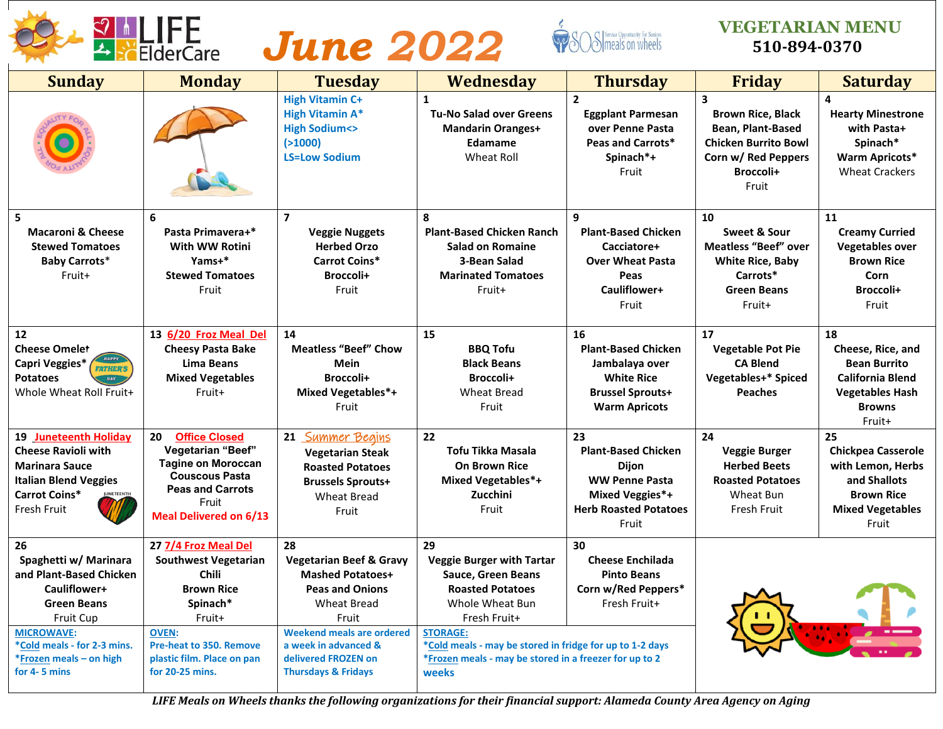



### **VEGETARIAN MENU 510-894-0370**

| <b>Sunday</b>                                                                                                                                                                                                   | <b>Monday</b>                                                                                                                                                                                                     | <b>Tuesday</b>                                                                                                                                                                                                                             | <b>Wednesday</b>                                                                                                                                                                                                                                                             | <b>Thursday</b>                                                                                                                | <b>Friday</b>                                                                                                                                        | <b>Saturday</b>                                                                                                                |
|-----------------------------------------------------------------------------------------------------------------------------------------------------------------------------------------------------------------|-------------------------------------------------------------------------------------------------------------------------------------------------------------------------------------------------------------------|--------------------------------------------------------------------------------------------------------------------------------------------------------------------------------------------------------------------------------------------|------------------------------------------------------------------------------------------------------------------------------------------------------------------------------------------------------------------------------------------------------------------------------|--------------------------------------------------------------------------------------------------------------------------------|------------------------------------------------------------------------------------------------------------------------------------------------------|--------------------------------------------------------------------------------------------------------------------------------|
|                                                                                                                                                                                                                 |                                                                                                                                                                                                                   | <b>High Vitamin C+</b><br><b>High Vitamin A*</b><br><b>High Sodium&lt;&gt;</b><br>( > 1000)<br><b>LS=Low Sodium</b>                                                                                                                        | $\mathbf{1}$<br><b>Tu-No Salad over Greens</b><br><b>Mandarin Oranges+</b><br><b>Edamame</b><br><b>Wheat Roll</b>                                                                                                                                                            | $\overline{2}$<br><b>Eggplant Parmesan</b><br>over Penne Pasta<br><b>Peas and Carrots*</b><br>Spinach*+<br>Fruit               | $\overline{\mathbf{3}}$<br><b>Brown Rice, Black</b><br>Bean, Plant-Based<br><b>Chicken Burrito Bowl</b><br>Corn w/ Red Peppers<br>Broccoli+<br>Fruit | 4<br><b>Hearty Minestrone</b><br>with Pasta+<br>Spinach*<br><b>Warm Apricots*</b><br><b>Wheat Crackers</b>                     |
| 5<br><b>Macaroni &amp; Cheese</b><br><b>Stewed Tomatoes</b><br><b>Baby Carrots*</b><br>Fruit+                                                                                                                   | 6<br>Pasta Primavera+*<br>With WW Rotini<br>Yams+*<br><b>Stewed Tomatoes</b><br>Fruit                                                                                                                             | $\overline{\mathbf{z}}$<br><b>Veggie Nuggets</b><br><b>Herbed Orzo</b><br><b>Carrot Coins*</b><br>Broccoli+<br>Fruit                                                                                                                       | 8<br><b>Plant-Based Chicken Ranch</b><br><b>Salad on Romaine</b><br>3-Bean Salad<br><b>Marinated Tomatoes</b><br>Fruit+                                                                                                                                                      | 9<br><b>Plant-Based Chicken</b><br>Cacciatore+<br><b>Over Wheat Pasta</b><br>Peas<br>Cauliflower+<br>Fruit                     | 10<br>Sweet & Sour<br><b>Meatless "Beef" over</b><br><b>White Rice, Baby</b><br>Carrots*<br><b>Green Beans</b><br>Fruit+                             | 11<br><b>Creamy Curried</b><br><b>Vegetables over</b><br><b>Brown Rice</b><br>Corn<br>Broccoli+<br>Fruit                       |
| 12<br><b>Cheese Omelet</b><br><b>Capri Veggies*</b><br><b>FATHER'S</b><br><b>Potatoes</b><br>DAY<br>Whole Wheat Roll Fruit+                                                                                     | 13 6/20 Froz Meal Del<br><b>Cheesy Pasta Bake</b><br>Lima Beans<br><b>Mixed Vegetables</b><br>Fruit+                                                                                                              | 14<br><b>Meatless "Beef" Chow</b><br>Mein<br>Broccoli+<br>Mixed Vegetables*+<br>Fruit                                                                                                                                                      | 15<br><b>BBQ Tofu</b><br><b>Black Beans</b><br>Broccoli+<br><b>Wheat Bread</b><br>Fruit                                                                                                                                                                                      | 16<br><b>Plant-Based Chicken</b><br>Jambalaya over<br><b>White Rice</b><br><b>Brussel Sprouts+</b><br><b>Warm Apricots</b>     | 17<br><b>Vegetable Pot Pie</b><br><b>CA Blend</b><br><b>Vegetables+* Spiced</b><br><b>Peaches</b>                                                    | 18<br>Cheese, Rice, and<br><b>Bean Burrito</b><br><b>California Blend</b><br><b>Vegetables Hash</b><br><b>Browns</b><br>Fruit+ |
| 19 Juneteenth Holiday<br><b>Cheese Ravioli with</b><br><b>Marinara Sauce</b><br><b>Italian Blend Veggies</b><br>Carrot Coins*<br><b>ETEENTI</b><br>Fresh Fruit                                                  | 20<br><b>Office Closed</b><br>Vegetarian "Beef"<br><b>Tagine on Moroccan</b><br><b>Couscous Pasta</b><br><b>Peas and Carrots</b><br>Fruit<br><b>Meal Delivered on 6/13</b>                                        | 21 Summer Begins<br><b>Vegetarian Steak</b><br><b>Roasted Potatoes</b><br><b>Brussels Sprouts+</b><br><b>Wheat Bread</b><br>Fruit                                                                                                          | 22<br>Tofu Tikka Masala<br><b>On Brown Rice</b><br><b>Mixed Vegetables*+</b><br>Zucchini<br>Fruit                                                                                                                                                                            | 23<br><b>Plant-Based Chicken</b><br>Dijon<br><b>WW Penne Pasta</b><br>Mixed Veggies*+<br><b>Herb Roasted Potatoes</b><br>Fruit | 24<br><b>Veggie Burger</b><br><b>Herbed Beets</b><br><b>Roasted Potatoes</b><br>Wheat Bun<br><b>Fresh Fruit</b>                                      | 25<br><b>Chickpea Casserole</b><br>with Lemon, Herbs<br>and Shallots<br><b>Brown Rice</b><br><b>Mixed Vegetables</b><br>Fruit  |
| 26<br>Spaghetti w/ Marinara<br>and Plant-Based Chicken<br>Cauliflower+<br><b>Green Beans</b><br><b>Fruit Cup</b><br><b>MICROWAVE:</b><br>*Cold meals - for 2-3 mins.<br>*Frozen meals - on high<br>for 4-5 mins | 27 7/4 Froz Meal Del<br><b>Southwest Vegetarian</b><br><b>Chili</b><br><b>Brown Rice</b><br>Spinach*<br>Fruit+<br><b>OVEN:</b><br><b>Pre-heat to 350. Remove</b><br>plastic film. Place on pan<br>for 20-25 mins. | 28<br><b>Vegetarian Beef &amp; Gravy</b><br><b>Mashed Potatoes+</b><br><b>Peas and Onions</b><br><b>Wheat Bread</b><br>Fruit<br>Weekend meals are ordered<br>a week in advanced &<br>delivered FROZEN on<br><b>Thursdays &amp; Fridays</b> | 29<br><b>Veggie Burger with Tartar</b><br>Sauce, Green Beans<br><b>Roasted Potatoes</b><br>Whole Wheat Bun<br>Fresh Fruit+<br><b>STORAGE:</b><br>*Cold meals - may be stored in fridge for up to 1-2 days<br>*Frozen meals - may be stored in a freezer for up to 2<br>weeks | 30<br><b>Cheese Enchilada</b><br><b>Pinto Beans</b><br>Corn w/Red Peppers*<br>Fresh Fruit+                                     |                                                                                                                                                      |                                                                                                                                |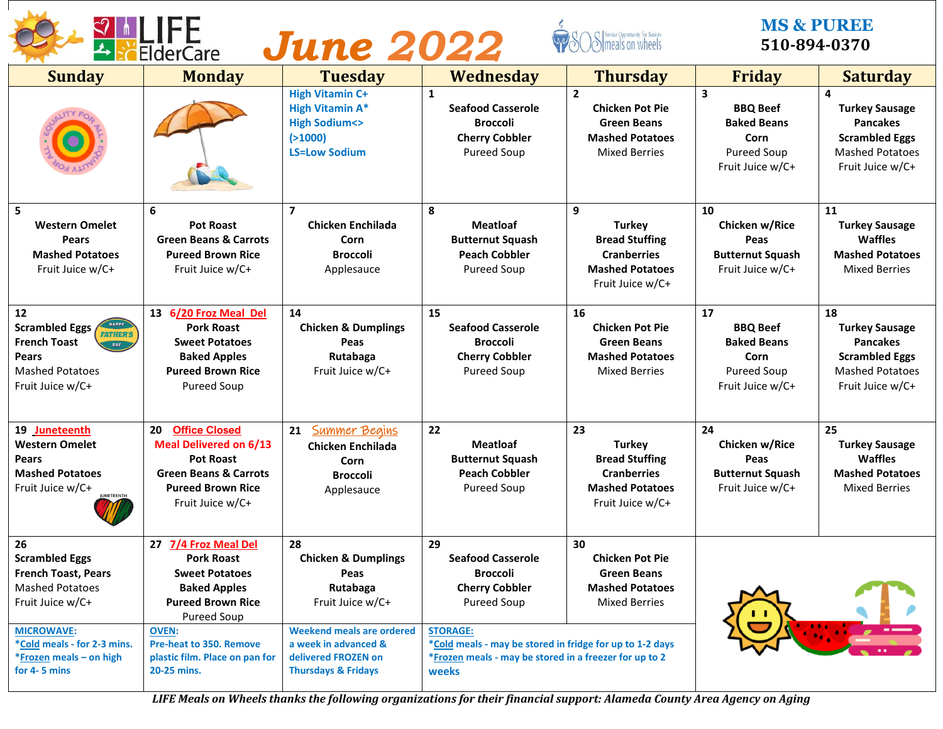| <b>FiderCare</b> |
|------------------|
|                  |



#### **MS & PUREE 510-894-0370**

| <b>Sunday</b>                                                                                                                                                                                          | <b>Monday</b>                                                                                                                                                                                                                    | <b>Tuesday</b>                                                                                                                                                                                    | <b>Wednesday</b>                                                                                                                                                                                                                                   | <b>Thursday</b>                                                                                                  | <b>Friday</b>                                                                                                      | <b>Saturday</b>                                                                                                                            |  |  |
|--------------------------------------------------------------------------------------------------------------------------------------------------------------------------------------------------------|----------------------------------------------------------------------------------------------------------------------------------------------------------------------------------------------------------------------------------|---------------------------------------------------------------------------------------------------------------------------------------------------------------------------------------------------|----------------------------------------------------------------------------------------------------------------------------------------------------------------------------------------------------------------------------------------------------|------------------------------------------------------------------------------------------------------------------|--------------------------------------------------------------------------------------------------------------------|--------------------------------------------------------------------------------------------------------------------------------------------|--|--|
|                                                                                                                                                                                                        |                                                                                                                                                                                                                                  | <b>High Vitamin C+</b><br><b>High Vitamin A*</b><br><b>High Sodium&lt;&gt;</b><br>( > 1000)<br><b>LS=Low Sodium</b>                                                                               | $\mathbf{1}$<br><b>Seafood Casserole</b><br><b>Broccoli</b><br><b>Cherry Cobbler</b><br><b>Pureed Soup</b>                                                                                                                                         | $\overline{2}$<br><b>Chicken Pot Pie</b><br><b>Green Beans</b><br><b>Mashed Potatoes</b><br><b>Mixed Berries</b> | $\overline{\mathbf{3}}$<br><b>BBQ Beef</b><br><b>Baked Beans</b><br>Corn<br><b>Pureed Soup</b><br>Fruit Juice w/C+ | $\overline{\mathbf{4}}$<br><b>Turkey Sausage</b><br><b>Pancakes</b><br><b>Scrambled Eggs</b><br><b>Mashed Potatoes</b><br>Fruit Juice w/C+ |  |  |
| 5<br><b>Western Omelet</b><br>Pears<br><b>Mashed Potatoes</b><br>Fruit Juice w/C+                                                                                                                      | 6<br><b>Pot Roast</b><br><b>Green Beans &amp; Carrots</b><br><b>Pureed Brown Rice</b><br>Fruit Juice w/C+                                                                                                                        | 7<br>Chicken Enchilada<br>Corn<br><b>Broccoli</b><br>Applesauce                                                                                                                                   | 8<br><b>Meatloaf</b><br><b>Butternut Squash</b><br><b>Peach Cobbler</b><br><b>Pureed Soup</b>                                                                                                                                                      | 9<br><b>Turkey</b><br><b>Bread Stuffing</b><br><b>Cranberries</b><br><b>Mashed Potatoes</b><br>Fruit Juice w/C+  | 10<br>Chicken w/Rice<br>Peas<br><b>Butternut Squash</b><br>Fruit Juice w/C+                                        | 11<br><b>Turkey Sausage</b><br><b>Waffles</b><br><b>Mashed Potatoes</b><br><b>Mixed Berries</b>                                            |  |  |
| 12<br><b>Scrambled Eggs</b><br><b>FATHER'S</b><br><b>French Toast</b><br>DAY<br>Pears<br><b>Mashed Potatoes</b><br>Fruit Juice w/C+                                                                    | 13 6/20 Froz Meal Del<br><b>Pork Roast</b><br><b>Sweet Potatoes</b><br><b>Baked Apples</b><br><b>Pureed Brown Rice</b><br><b>Pureed Soup</b>                                                                                     | 14<br><b>Chicken &amp; Dumplings</b><br>Peas<br>Rutabaga<br>Fruit Juice w/C+                                                                                                                      | 15<br><b>Seafood Casserole</b><br><b>Broccoli</b><br><b>Cherry Cobbler</b><br><b>Pureed Soup</b>                                                                                                                                                   | 16<br><b>Chicken Pot Pie</b><br><b>Green Beans</b><br><b>Mashed Potatoes</b><br><b>Mixed Berries</b>             | 17<br><b>BBQ Beef</b><br><b>Baked Beans</b><br>Corn<br>Pureed Soup<br>Fruit Juice w/C+                             | 18<br><b>Turkey Sausage</b><br><b>Pancakes</b><br><b>Scrambled Eggs</b><br><b>Mashed Potatoes</b><br>Fruit Juice w/C+                      |  |  |
| 19 Juneteenth<br><b>Western Omelet</b><br><b>Pears</b><br><b>Mashed Potatoes</b><br>Fruit Juice w/C+                                                                                                   | <b>Office Closed</b><br>20<br><b>Meal Delivered on 6/13</b><br><b>Pot Roast</b><br><b>Green Beans &amp; Carrots</b><br><b>Pureed Brown Rice</b><br>Fruit Juice w/C+                                                              | <b>Summer Begins</b><br>21<br><b>Chicken Enchilada</b><br>Corn<br><b>Broccoli</b><br>Applesauce                                                                                                   | 22<br><b>Meatloaf</b><br><b>Butternut Squash</b><br><b>Peach Cobbler</b><br><b>Pureed Soup</b>                                                                                                                                                     | 23<br><b>Turkey</b><br><b>Bread Stuffing</b><br><b>Cranberries</b><br><b>Mashed Potatoes</b><br>Fruit Juice w/C+ | 24<br>Chicken w/Rice<br>Peas<br><b>Butternut Squash</b><br>Fruit Juice w/C+                                        | 25<br><b>Turkey Sausage</b><br><b>Waffles</b><br><b>Mashed Potatoes</b><br><b>Mixed Berries</b>                                            |  |  |
| 26<br><b>Scrambled Eggs</b><br><b>French Toast, Pears</b><br><b>Mashed Potatoes</b><br>Fruit Juice w/C+<br><b>MICROWAVE:</b><br>*Cold meals - for 2-3 mins.<br>*Frozen meals - on high<br>for 4-5 mins | 27 7/4 Froz Meal Del<br><b>Pork Roast</b><br><b>Sweet Potatoes</b><br><b>Baked Apples</b><br><b>Pureed Brown Rice</b><br>Pureed Soup<br><b>OVEN:</b><br>Pre-heat to 350. Remove<br>plastic film. Place on pan for<br>20-25 mins. | 28<br><b>Chicken &amp; Dumplings</b><br>Peas<br>Rutabaga<br>Fruit Juice w/C+<br><b>Weekend meals are ordered</b><br>a week in advanced &<br>delivered FROZEN on<br><b>Thursdays &amp; Fridays</b> | 29<br><b>Seafood Casserole</b><br><b>Broccoli</b><br><b>Cherry Cobbler</b><br><b>Pureed Soup</b><br><b>STORAGE:</b><br>*Cold meals - may be stored in fridge for up to 1-2 days<br>*Frozen meals - may be stored in a freezer for up to 2<br>weeks | 30<br><b>Chicken Pot Pie</b><br><b>Green Beans</b><br><b>Mashed Potatoes</b><br><b>Mixed Berries</b>             |                                                                                                                    |                                                                                                                                            |  |  |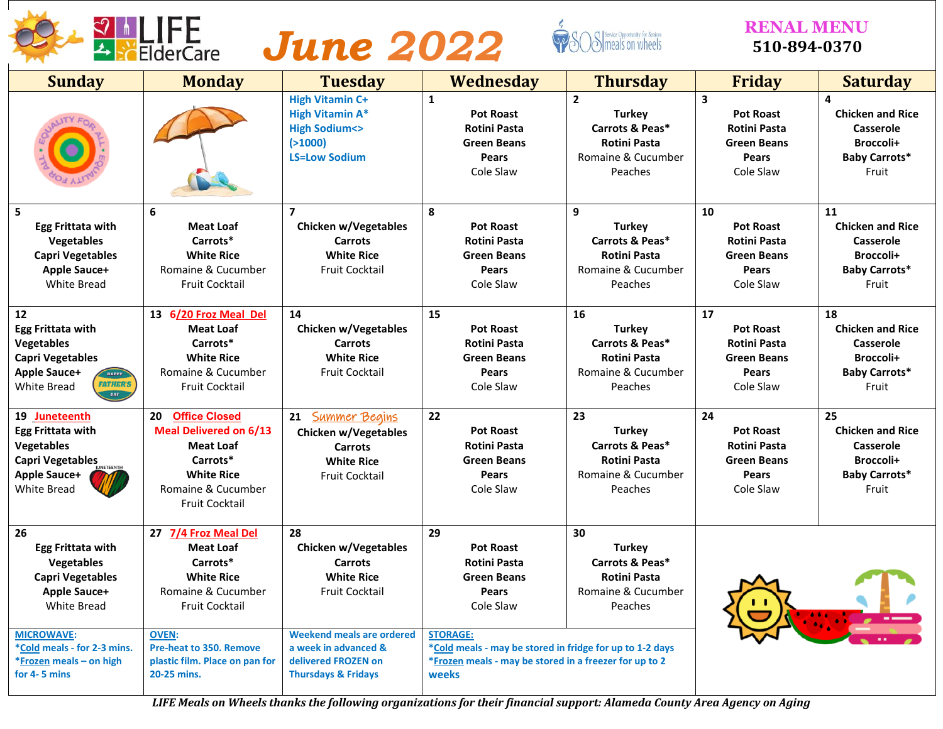



#### **RENAL MENU 510-894-0370**

| <b>Sunday</b>                                                                                                                                           | <b>Monday</b>                                                                                                                                                   | <b>Tuesday</b>                                                                                                      | <b>Wednesday</b>                                                                                                                               | <b>Thursday</b>                                                                                            | <b>Friday</b>                                                                                    | <b>Saturday</b>                                                                                 |
|---------------------------------------------------------------------------------------------------------------------------------------------------------|-----------------------------------------------------------------------------------------------------------------------------------------------------------------|---------------------------------------------------------------------------------------------------------------------|------------------------------------------------------------------------------------------------------------------------------------------------|------------------------------------------------------------------------------------------------------------|--------------------------------------------------------------------------------------------------|-------------------------------------------------------------------------------------------------|
|                                                                                                                                                         |                                                                                                                                                                 | <b>High Vitamin C+</b><br><b>High Vitamin A*</b><br><b>High Sodium&lt;&gt;</b><br>( > 1000)<br><b>LS=Low Sodium</b> | $\mathbf{1}$<br><b>Pot Roast</b><br><b>Rotini Pasta</b><br><b>Green Beans</b><br>Pears<br>Cole Slaw                                            | $\overline{2}$<br><b>Turkey</b><br>Carrots & Peas*<br><b>Rotini Pasta</b><br>Romaine & Cucumber<br>Peaches | 3<br><b>Pot Roast</b><br><b>Rotini Pasta</b><br><b>Green Beans</b><br>Pears<br>Cole Slaw         | 4<br><b>Chicken and Rice</b><br>Casserole<br>Broccoli+<br><b>Baby Carrots*</b><br>Fruit         |
| 5<br><b>Egg Frittata with</b><br><b>Vegetables</b><br><b>Capri Vegetables</b><br><b>Apple Sauce+</b><br><b>White Bread</b>                              | 6<br><b>Meat Loaf</b><br>Carrots*<br><b>White Rice</b><br>Romaine & Cucumber<br><b>Fruit Cocktail</b>                                                           | $\overline{7}$<br>Chicken w/Vegetables<br><b>Carrots</b><br><b>White Rice</b><br><b>Fruit Cocktail</b>              | 8<br><b>Pot Roast</b><br><b>Rotini Pasta</b><br><b>Green Beans</b><br><b>Pears</b><br>Cole Slaw                                                | 9<br><b>Turkey</b><br>Carrots & Peas*<br><b>Rotini Pasta</b><br>Romaine & Cucumber<br>Peaches              | 10<br><b>Pot Roast</b><br><b>Rotini Pasta</b><br><b>Green Beans</b><br><b>Pears</b><br>Cole Slaw | 11<br><b>Chicken and Rice</b><br>Casserole<br>Broccoli+<br><b>Baby Carrots*</b><br>Fruit        |
| 12<br><b>Egg Frittata with</b><br><b>Vegetables</b><br><b>Capri Vegetables</b><br><b>Apple Sauce+</b><br>HAPPY<br><b>FATHER'S</b><br>White Bread<br>DAY | 13 6/20 Froz Meal Del<br><b>Meat Loaf</b><br>Carrots*<br><b>White Rice</b><br>Romaine & Cucumber<br>Fruit Cocktail                                              | 14<br><b>Chicken w/Vegetables</b><br><b>Carrots</b><br><b>White Rice</b><br><b>Fruit Cocktail</b>                   | 15<br><b>Pot Roast</b><br><b>Rotini Pasta</b><br><b>Green Beans</b><br><b>Pears</b><br>Cole Slaw                                               | 16<br><b>Turkey</b><br>Carrots & Peas*<br><b>Rotini Pasta</b><br>Romaine & Cucumber<br>Peaches             | 17<br><b>Pot Roast</b><br><b>Rotini Pasta</b><br><b>Green Beans</b><br>Pears<br>Cole Slaw        | 18<br><b>Chicken and Rice</b><br><b>Casserole</b><br>Broccoli+<br><b>Baby Carrots*</b><br>Fruit |
| 19 Juneteenth<br><b>Egg Frittata with</b><br><b>Vegetables</b><br><b>Capri Vegetables</b><br><b>Apple Sauce+</b><br><b>White Bread</b>                  | 20<br><b>Office Closed</b><br><b>Meal Delivered on 6/13</b><br><b>Meat Loaf</b><br>Carrots*<br><b>White Rice</b><br>Romaine & Cucumber<br><b>Fruit Cocktail</b> | <b>Summer Begins</b><br>21<br>Chicken w/Vegetables<br><b>Carrots</b><br><b>White Rice</b><br><b>Fruit Cocktail</b>  | 22<br><b>Pot Roast</b><br><b>Rotini Pasta</b><br><b>Green Beans</b><br><b>Pears</b><br>Cole Slaw                                               | 23<br><b>Turkey</b><br>Carrots & Peas*<br><b>Rotini Pasta</b><br>Romaine & Cucumber<br>Peaches             | 24<br><b>Pot Roast</b><br><b>Rotini Pasta</b><br><b>Green Beans</b><br><b>Pears</b><br>Cole Slaw | 25<br><b>Chicken and Rice</b><br>Casserole<br>Broccoli+<br><b>Baby Carrots*</b><br>Fruit        |
| 26<br><b>Egg Frittata with</b><br><b>Vegetables</b><br><b>Capri Vegetables</b><br><b>Apple Sauce+</b><br>White Bread                                    | 27 7/4 Froz Meal Del<br><b>Meat Loaf</b><br>Carrots*<br><b>White Rice</b><br>Romaine & Cucumber<br>Fruit Cocktail                                               | 28<br>Chicken w/Vegetables<br><b>Carrots</b><br><b>White Rice</b><br><b>Fruit Cocktail</b>                          | 29<br><b>Pot Roast</b><br><b>Rotini Pasta</b><br><b>Green Beans</b><br><b>Pears</b><br>Cole Slaw                                               | 30<br><b>Turkey</b><br>Carrots & Peas*<br><b>Rotini Pasta</b><br>Romaine & Cucumber<br>Peaches             |                                                                                                  |                                                                                                 |
| <b>MICROWAVE:</b><br>*Cold meals - for 2-3 mins.<br>*Frozen meals - on high<br>for 4-5 mins                                                             | <b>OVEN:</b><br><b>Pre-heat to 350. Remove</b><br>plastic film. Place on pan for<br>20-25 mins.                                                                 | <b>Weekend meals are ordered</b><br>a week in advanced &<br>delivered FROZEN on<br><b>Thursdays &amp; Fridays</b>   | <b>STORAGE:</b><br>*Cold meals - may be stored in fridge for up to 1-2 days<br>*Frozen meals - may be stored in a freezer for up to 2<br>weeks |                                                                                                            |                                                                                                  |                                                                                                 |